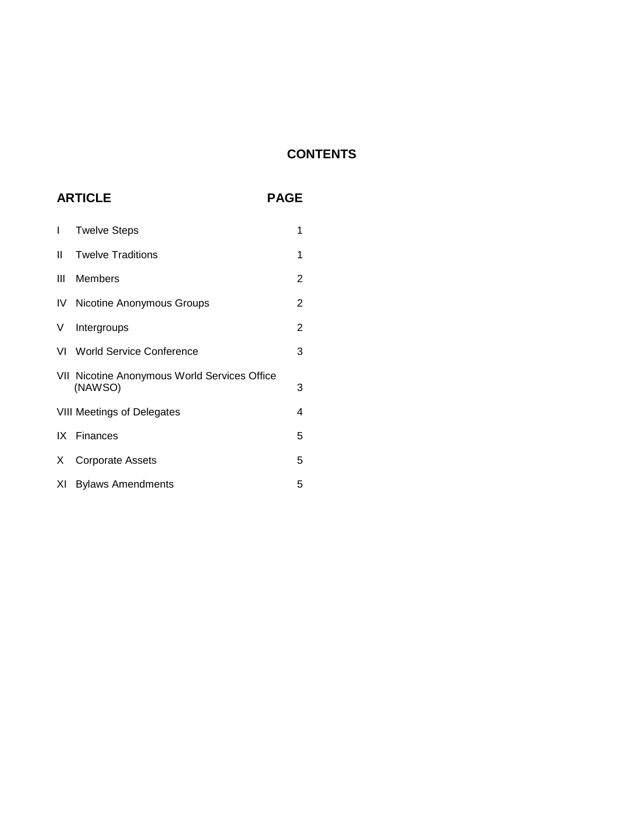# **CONTENTS**

# **ARTICLE PAGE**

| I   | <b>Twelve Steps</b>                                     | 1              |
|-----|---------------------------------------------------------|----------------|
| II. | <b>Twelve Traditions</b>                                | 1              |
| Ш   | Members                                                 | 2              |
|     | <b>IV</b> Nicotine Anonymous Groups                     | $\overline{2}$ |
| V   | Intergroups                                             | $\overline{2}$ |
|     | VI World Service Conference                             | 3              |
|     | VII Nicotine Anonymous World Services Office<br>(NAWSO) | 3              |
|     | <b>VIII Meetings of Delegates</b>                       | 4              |
|     | IX Finances                                             | 5              |
| X   | <b>Corporate Assets</b>                                 | 5              |
| XL  | <b>Bylaws Amendments</b>                                | 5              |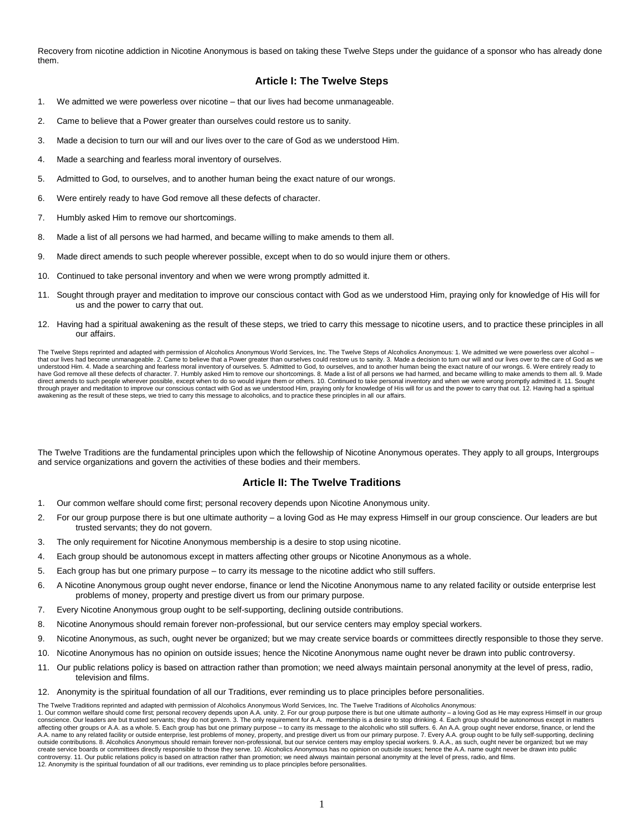Recovery from nicotine addiction in Nicotine Anonymous is based on taking these Twelve Steps under the guidance of a sponsor who has already done them.

# **Article I: The Twelve Steps**

- 1. We admitted we were powerless over nicotine that our lives had become unmanageable.
- 2. Came to believe that a Power greater than ourselves could restore us to sanity.
- 3. Made a decision to turn our will and our lives over to the care of God as we understood Him.
- 4. Made a searching and fearless moral inventory of ourselves.
- 5. Admitted to God, to ourselves, and to another human being the exact nature of our wrongs.
- 6. Were entirely ready to have God remove all these defects of character.
- 7. Humbly asked Him to remove our shortcomings.
- 8. Made a list of all persons we had harmed, and became willing to make amends to them all.
- 9. Made direct amends to such people wherever possible, except when to do so would injure them or others.
- 10. Continued to take personal inventory and when we were wrong promptly admitted it.
- 11. Sought through prayer and meditation to improve our conscious contact with God as we understood Him, praying only for knowledge of His will for us and the power to carry that out.
- 12. Having had a spiritual awakening as the result of these steps, we tried to carry this message to nicotine users, and to practice these principles in all our affairs.

The Twelve Steps reprinted and adapted with permission of Alcoholics Anonymous World Services, Inc. The Twelve Steps of Alcoholics Anonymous: 1. We admitted we were powerless over alcohol that our lives had become unmanageable. 2. Came to believe that a Power greater than ourselves could restore us to sanity. 3. Made a decision to turn our will and our lives over to the care of God as we understood Him. 4. Made a searching and fearless moral inventory of ourselves. 5. Admitted to God, to ourselves, and to another human being the exact nature of our wrongs. 6. Were entirely ready to have God remove all these defects of character. 7. Humbly asked Him to remove our shortcomings. 8. Made a list of all persons we had harmed, and became willing to make amends to them all. 9. Made direct amends to such people wherever possible, except when to do so would injure them or others. 10. Continued to take personal inventory and when we were wrong promptly admitted it. 11. Sought of the m or others. 10. Con through prayer and meditation to improve our conscious contact with God as we understood Him, praying only for knowledge of His will for us and the power to carry that out. 12. Having had a spiritual awakening as the result of these steps, we tried to carry this message to alcoholics, and to practice these principles in all our affairs.

The Twelve Traditions are the fundamental principles upon which the fellowship of Nicotine Anonymous operates. They apply to all groups, Intergroups and service organizations and govern the activities of these bodies and their members.

## **Article II: The Twelve Traditions**

- 1. Our common welfare should come first; personal recovery depends upon Nicotine Anonymous unity.
- 2. For our group purpose there is but one ultimate authority a loving God as He may express Himself in our group conscience. Our leaders are but trusted servants; they do not govern.
- 3. The only requirement for Nicotine Anonymous membership is a desire to stop using nicotine.
- 4. Each group should be autonomous except in matters affecting other groups or Nicotine Anonymous as a whole.
- 5. Each group has but one primary purpose to carry its message to the nicotine addict who still suffers.
- 6. A Nicotine Anonymous group ought never endorse, finance or lend the Nicotine Anonymous name to any related facility or outside enterprise lest problems of money, property and prestige divert us from our primary purpose.
- 7. Every Nicotine Anonymous group ought to be self-supporting, declining outside contributions.
- 8. Nicotine Anonymous should remain forever non-professional, but our service centers may employ special workers.
- 9. Nicotine Anonymous, as such, ought never be organized; but we may create service boards or committees directly responsible to those they serve.
- 10. Nicotine Anonymous has no opinion on outside issues; hence the Nicotine Anonymous name ought never be drawn into public controversy.
- 11. Our public relations policy is based on attraction rather than promotion; we need always maintain personal anonymity at the level of press, radio, television and films.
- 12. Anonymity is the spiritual foundation of all our Traditions, ever reminding us to place principles before personalities.

The Twelve Traditions reprinted and adapted with permission of Alcoholics Anonymous World Services, Inc. The Twelve Traditions of Alcoholics Anonymous: 1. Our common welfare should come first; personal recovery depends upon A.A. unity. 2. For our group purpose there is but one ultimate authority – a loving God as He may express Himself in our group<br>conscience. Our leaders affecting other groups or A.A. as a whole. 5. Each group has but one primary purpose – to carry its message to the alcoholic who still suffers. 6. An A.A. group ought never endorse, finance, or lend the A.A. name to any related facility or outside enterprise, lest problems of money, property, and prestige divert us from our primary purpose. 7. Every A.A. group ought to be fully self-supporting, declining<br>outside contribut create service boards or committees directly responsible to those they serve. 10. Alcoholics Anonymous has no opinion on outside issues; hence the A.A. name ought never be drawn into public controversy. 11. Our public relations policy is based on attraction rather than promotion; we need always maintain personal anonymity at the level of press, radio, and films. 12. Anonymity is the spiritual foundation of all our traditions, ever reminding us to place principles before personalities.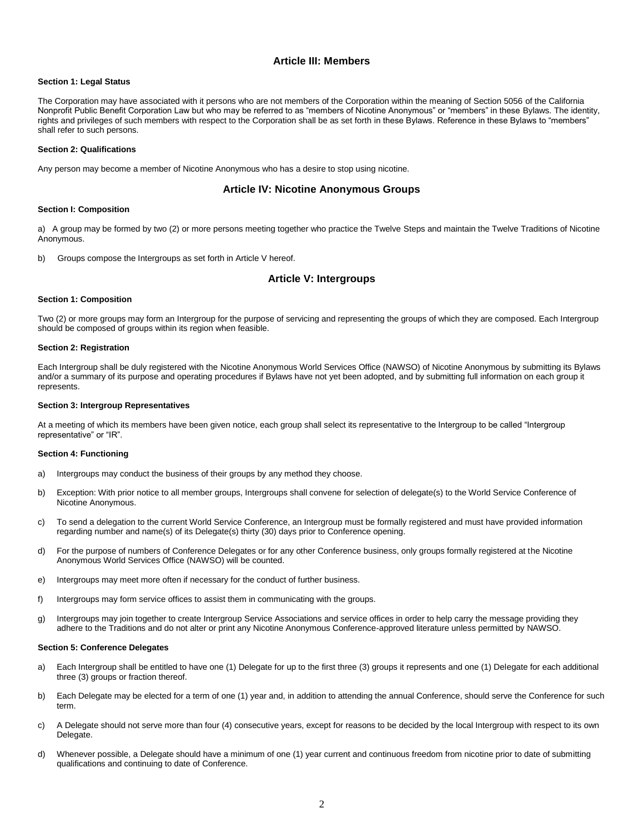# **Article III: Members**

#### **Section 1: Legal Status**

The Corporation may have associated with it persons who are not members of the Corporation within the meaning of Section 5056 of the California Nonprofit Public Benefit Corporation Law but who may be referred to as "members of Nicotine Anonymous" or "members" in these Bylaws. The identity, rights and privileges of such members with respect to the Corporation shall be as set forth in these Bylaws. Reference in these Bylaws to "members" shall refer to such persons.

#### **Section 2: Qualifications**

Any person may become a member of Nicotine Anonymous who has a desire to stop using nicotine.

## **Article IV: Nicotine Anonymous Groups**

#### **Section I: Composition**

a) A group may be formed by two (2) or more persons meeting together who practice the Twelve Steps and maintain the Twelve Traditions of Nicotine Anonymous.

b) Groups compose the Intergroups as set forth in Article V hereof.

# **Article V: Intergroups**

#### **Section 1: Composition**

Two (2) or more groups may form an Intergroup for the purpose of servicing and representing the groups of which they are composed. Each Intergroup should be composed of groups within its region when feasible.

#### **Section 2: Registration**

Each Intergroup shall be duly registered with the Nicotine Anonymous World Services Office (NAWSO) of Nicotine Anonymous by submitting its Bylaws and/or a summary of its purpose and operating procedures if Bylaws have not yet been adopted, and by submitting full information on each group it represents.

#### **Section 3: Intergroup Representatives**

At a meeting of which its members have been given notice, each group shall select its representative to the Intergroup to be called "Intergroup representative" or "IR".

#### **Section 4: Functioning**

- a) Intergroups may conduct the business of their groups by any method they choose.
- b) Exception: With prior notice to all member groups, Intergroups shall convene for selection of delegate(s) to the World Service Conference of Nicotine Anonymous.
- c) To send a delegation to the current World Service Conference, an Intergroup must be formally registered and must have provided information regarding number and name(s) of its Delegate(s) thirty (30) days prior to Conference opening.
- d) For the purpose of numbers of Conference Delegates or for any other Conference business, only groups formally registered at the Nicotine Anonymous World Services Office (NAWSO) will be counted.
- e) Intergroups may meet more often if necessary for the conduct of further business.
- f) Intergroups may form service offices to assist them in communicating with the groups.
- g) Intergroups may join together to create Intergroup Service Associations and service offices in order to help carry the message providing they adhere to the Traditions and do not alter or print any Nicotine Anonymous Conference-approved literature unless permitted by NAWSO.

#### **Section 5: Conference Delegates**

- a) Each Intergroup shall be entitled to have one (1) Delegate for up to the first three (3) groups it represents and one (1) Delegate for each additional three (3) groups or fraction thereof.
- b) Each Delegate may be elected for a term of one (1) year and, in addition to attending the annual Conference, should serve the Conference for such term.
- c) A Delegate should not serve more than four (4) consecutive years, except for reasons to be decided by the local Intergroup with respect to its own Delegate.
- d) Whenever possible, a Delegate should have a minimum of one (1) year current and continuous freedom from nicotine prior to date of submitting qualifications and continuing to date of Conference.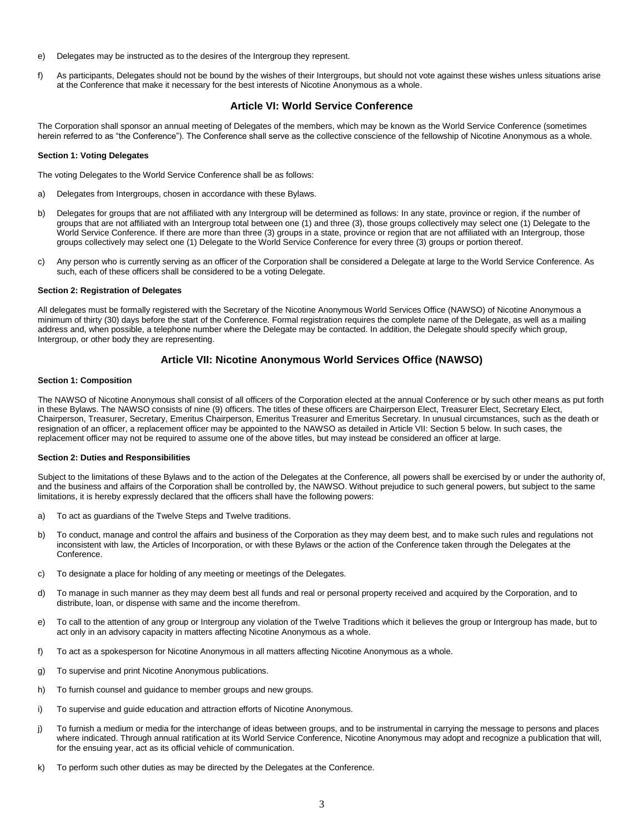- e) Delegates may be instructed as to the desires of the Intergroup they represent.
- f) As participants, Delegates should not be bound by the wishes of their Intergroups, but should not vote against these wishes unless situations arise at the Conference that make it necessary for the best interests of Nicotine Anonymous as a whole.

# **Article VI: World Service Conference**

The Corporation shall sponsor an annual meeting of Delegates of the members, which may be known as the World Service Conference (sometimes herein referred to as "the Conference"). The Conference shall serve as the collective conscience of the fellowship of Nicotine Anonymous as a whole.

#### **Section 1: Voting Delegates**

The voting Delegates to the World Service Conference shall be as follows:

- a) Delegates from Intergroups, chosen in accordance with these Bylaws.
- b) Delegates for groups that are not affiliated with any Intergroup will be determined as follows: In any state, province or region, if the number of groups that are not affiliated with an Intergroup total between one (1) and three (3), those groups collectively may select one (1) Delegate to the World Service Conference. If there are more than three (3) groups in a state, province or region that are not affiliated with an Intergroup, those groups collectively may select one (1) Delegate to the World Service Conference for every three (3) groups or portion thereof.
- c) Any person who is currently serving as an officer of the Corporation shall be considered a Delegate at large to the World Service Conference. As such, each of these officers shall be considered to be a voting Delegate.

#### **Section 2: Registration of Delegates**

All delegates must be formally registered with the Secretary of the Nicotine Anonymous World Services Office (NAWSO) of Nicotine Anonymous a minimum of thirty (30) days before the start of the Conference. Formal registration requires the complete name of the Delegate, as well as a mailing address and, when possible, a telephone number where the Delegate may be contacted. In addition, the Delegate should specify which group, Intergroup, or other body they are representing.

# **Article VII: Nicotine Anonymous World Services Office (NAWSO)**

#### **Section 1: Composition**

The NAWSO of Nicotine Anonymous shall consist of all officers of the Corporation elected at the annual Conference or by such other means as put forth in these Bylaws. The NAWSO consists of nine (9) officers. The titles of these officers are Chairperson Elect, Treasurer Elect, Secretary Elect, Chairperson, Treasurer, Secretary, Emeritus Chairperson, Emeritus Treasurer and Emeritus Secretary. In unusual circumstances, such as the death or resignation of an officer, a replacement officer may be appointed to the NAWSO as detailed in Article VII: Section 5 below. In such cases, the replacement officer may not be required to assume one of the above titles, but may instead be considered an officer at large.

#### **Section 2: Duties and Responsibilities**

Subject to the limitations of these Bylaws and to the action of the Delegates at the Conference, all powers shall be exercised by or under the authority of, and the business and affairs of the Corporation shall be controlled by, the NAWSO. Without prejudice to such general powers, but subject to the same limitations, it is hereby expressly declared that the officers shall have the following powers:

- a) To act as guardians of the Twelve Steps and Twelve traditions.
- b) To conduct, manage and control the affairs and business of the Corporation as they may deem best, and to make such rules and regulations not inconsistent with law, the Articles of Incorporation, or with these Bylaws or the action of the Conference taken through the Delegates at the Conference.
- c) To designate a place for holding of any meeting or meetings of the Delegates.
- d) To manage in such manner as they may deem best all funds and real or personal property received and acquired by the Corporation, and to distribute, loan, or dispense with same and the income therefrom.
- e) To call to the attention of any group or Intergroup any violation of the Twelve Traditions which it believes the group or Intergroup has made, but to act only in an advisory capacity in matters affecting Nicotine Anonymous as a whole.
- f) To act as a spokesperson for Nicotine Anonymous in all matters affecting Nicotine Anonymous as a whole.
- g) To supervise and print Nicotine Anonymous publications.
- h) To furnish counsel and guidance to member groups and new groups.
- i) To supervise and guide education and attraction efforts of Nicotine Anonymous.
- j) To furnish a medium or media for the interchange of ideas between groups, and to be instrumental in carrying the message to persons and places where indicated. Through annual ratification at its World Service Conference, Nicotine Anonymous may adopt and recognize a publication that will, for the ensuing year, act as its official vehicle of communication.
- k) To perform such other duties as may be directed by the Delegates at the Conference.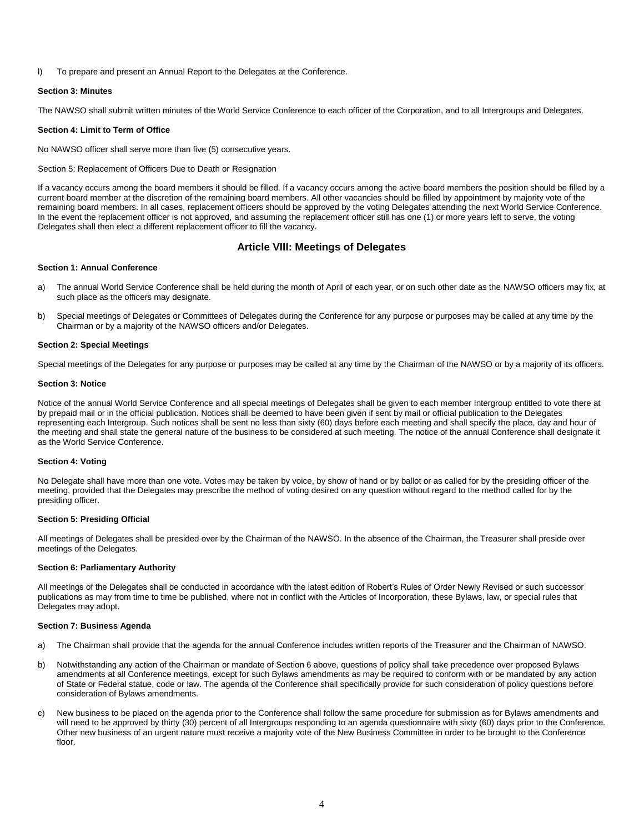l) To prepare and present an Annual Report to the Delegates at the Conference.

#### **Section 3: Minutes**

The NAWSO shall submit written minutes of the World Service Conference to each officer of the Corporation, and to all Intergroups and Delegates.

#### **Section 4: Limit to Term of Office**

No NAWSO officer shall serve more than five (5) consecutive years.

Section 5: Replacement of Officers Due to Death or Resignation

If a vacancy occurs among the board members it should be filled. If a vacancy occurs among the active board members the position should be filled by a current board member at the discretion of the remaining board members. All other vacancies should be filled by appointment by majority vote of the remaining board members. In all cases, replacement officers should be approved by the voting Delegates attending the next World Service Conference. In the event the replacement officer is not approved, and assuming the replacement officer still has one (1) or more years left to serve, the voting Delegates shall then elect a different replacement officer to fill the vacancy.

# **Article VIII: Meetings of Delegates**

## **Section 1: Annual Conference**

- a) The annual World Service Conference shall be held during the month of April of each year, or on such other date as the NAWSO officers may fix, at such place as the officers may designate.
- b) Special meetings of Delegates or Committees of Delegates during the Conference for any purpose or purposes may be called at any time by the Chairman or by a majority of the NAWSO officers and/or Delegates.

## **Section 2: Special Meetings**

Special meetings of the Delegates for any purpose or purposes may be called at any time by the Chairman of the NAWSO or by a majority of its officers.

#### **Section 3: Notice**

Notice of the annual World Service Conference and all special meetings of Delegates shall be given to each member Intergroup entitled to vote there at by prepaid mail or in the official publication. Notices shall be deemed to have been given if sent by mail or official publication to the Delegates representing each Intergroup. Such notices shall be sent no less than sixty (60) days before each meeting and shall specify the place, day and hour of the meeting and shall state the general nature of the business to be considered at such meeting. The notice of the annual Conference shall designate it as the World Service Conference.

## **Section 4: Voting**

No Delegate shall have more than one vote. Votes may be taken by voice, by show of hand or by ballot or as called for by the presiding officer of the meeting, provided that the Delegates may prescribe the method of voting desired on any question without regard to the method called for by the presiding officer.

## **Section 5: Presiding Official**

All meetings of Delegates shall be presided over by the Chairman of the NAWSO. In the absence of the Chairman, the Treasurer shall preside over meetings of the Delegates.

#### **Section 6: Parliamentary Authority**

All meetings of the Delegates shall be conducted in accordance with the latest edition of Robert's Rules of Order Newly Revised or such successor publications as may from time to time be published, where not in conflict with the Articles of Incorporation, these Bylaws, law, or special rules that Delegates may adopt.

#### **Section 7: Business Agenda**

- a) The Chairman shall provide that the agenda for the annual Conference includes written reports of the Treasurer and the Chairman of NAWSO.
- b) Notwithstanding any action of the Chairman or mandate of Section 6 above, questions of policy shall take precedence over proposed Bylaws amendments at all Conference meetings, except for such Bylaws amendments as may be required to conform with or be mandated by any action of State or Federal statue, code or law. The agenda of the Conference shall specifically provide for such consideration of policy questions before consideration of Bylaws amendments.
- c) New business to be placed on the agenda prior to the Conference shall follow the same procedure for submission as for Bylaws amendments and will need to be approved by thirty (30) percent of all Intergroups responding to an agenda questionnaire with sixty (60) days prior to the Conference. Other new business of an urgent nature must receive a majority vote of the New Business Committee in order to be brought to the Conference floor.